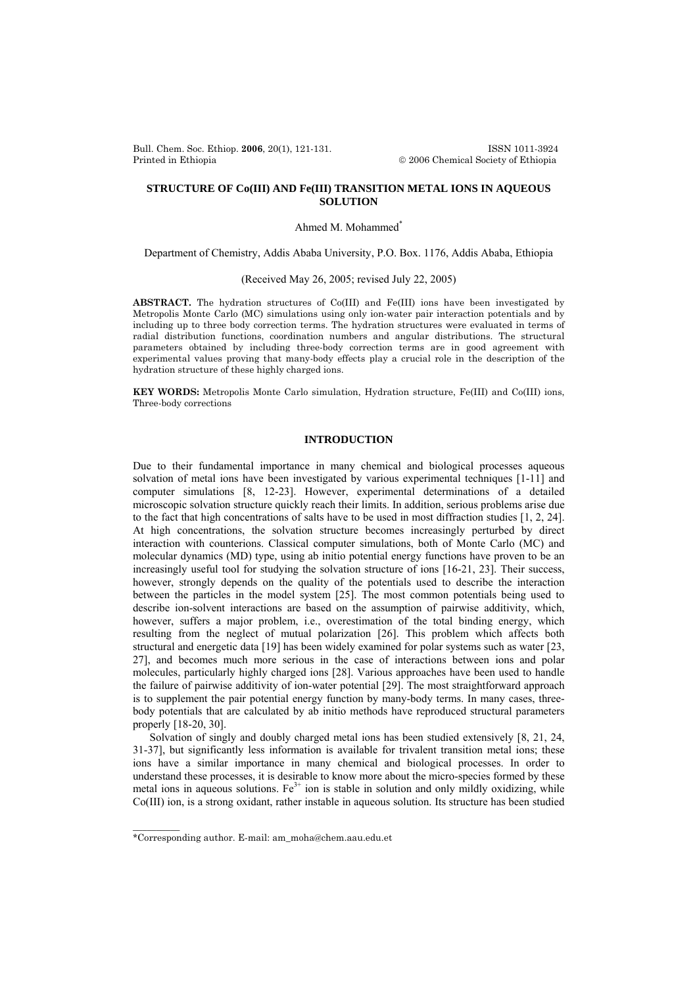Bull. Chem. Soc. Ethiop. **2006**, 20(1), 121-131. ISSN 1011-3924 Printed in Ethiopia © 2006 Chemical Society of Ethiopia

# **STRUCTURE OF Co(III) AND Fe(III) TRANSITION METAL IONS IN AQUEOUS SOLUTION**

Ahmed M. Mohammed\*

Department of Chemistry, Addis Ababa University, P.O. Box. 1176, Addis Ababa, Ethiopia

(Received May 26, 2005; revised July 22, 2005)

**ABSTRACT.** The hydration structures of Co(III) and Fe(III) ions have been investigated by Metropolis Monte Carlo (MC) simulations using only ion-water pair interaction potentials and by including up to three body correction terms. The hydration structures were evaluated in terms of radial distribution functions, coordination numbers and angular distributions. The structural parameters obtained by including three-body correction terms are in good agreement with experimental values proving that many-body effects play a crucial role in the description of the hydration structure of these highly charged ions.

**KEY WORDS:** Metropolis Monte Carlo simulation, Hydration structure, Fe(III) and Co(III) ions, Three-body corrections

### **INTRODUCTION**

Due to their fundamental importance in many chemical and biological processes aqueous solvation of metal ions have been investigated by various experimental techniques [1-11] and computer simulations [8, 12-23]. However, experimental determinations of a detailed microscopic solvation structure quickly reach their limits. In addition, serious problems arise due to the fact that high concentrations of salts have to be used in most diffraction studies [1, 2, 24]. At high concentrations, the solvation structure becomes increasingly perturbed by direct interaction with counterions. Classical computer simulations, both of Monte Carlo (MC) and molecular dynamics (MD) type, using ab initio potential energy functions have proven to be an increasingly useful tool for studying the solvation structure of ions [16-21, 23]. Their success, however, strongly depends on the quality of the potentials used to describe the interaction between the particles in the model system [25]. The most common potentials being used to describe ion-solvent interactions are based on the assumption of pairwise additivity, which, however, suffers a major problem, i.e., overestimation of the total binding energy, which resulting from the neglect of mutual polarization [26]. This problem which affects both structural and energetic data [19] has been widely examined for polar systems such as water [23, 27], and becomes much more serious in the case of interactions between ions and polar molecules, particularly highly charged ions [28]. Various approaches have been used to handle the failure of pairwise additivity of ion-water potential [29]. The most straightforward approach is to supplement the pair potential energy function by many-body terms. In many cases, threebody potentials that are calculated by ab initio methods have reproduced structural parameters properly [18-20, 30].

Solvation of singly and doubly charged metal ions has been studied extensively [8, 21, 24, 31-37], but significantly less information is available for trivalent transition metal ions; these ions have a similar importance in many chemical and biological processes. In order to understand these processes, it is desirable to know more about the micro-species formed by these metal ions in aqueous solutions. Fe<sup>3+</sup> ion is stable in solution and only mildly oxidizing, while Co(III) ion, is a strong oxidant, rather instable in aqueous solution. Its structure has been studied

 $\frac{1}{2}$ 

<sup>\*</sup>Corresponding author. E-mail: am\_moha@chem.aau.edu.et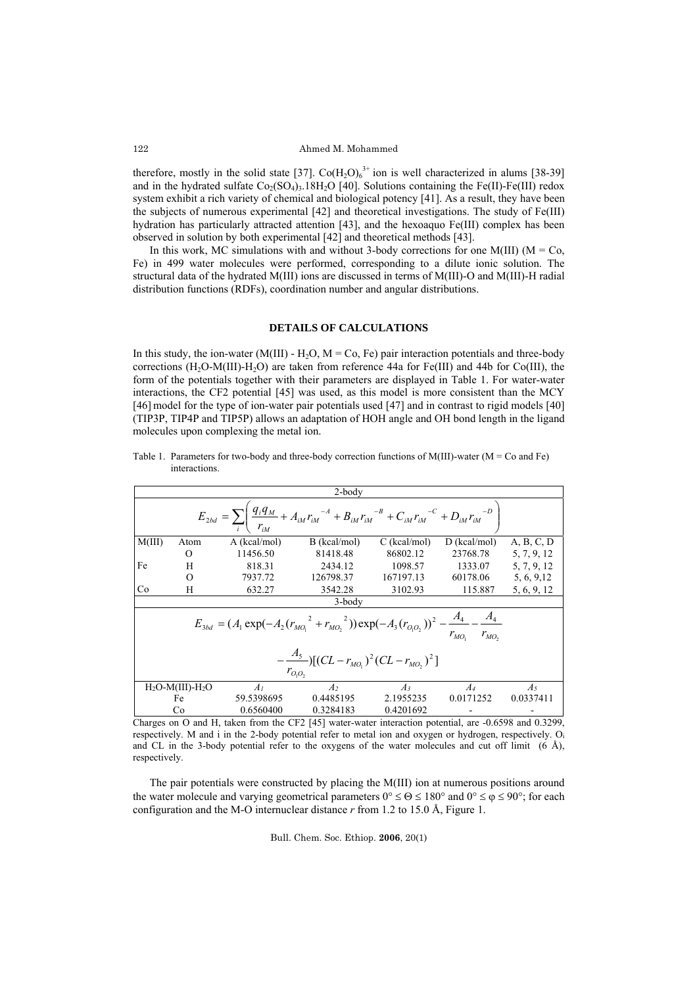therefore, mostly in the solid state [37].  $\text{Co}(\text{H}_2\text{O})_6^{3+}$  ion is well characterized in alums [38-39] and in the hydrated sulfate  $Co_2(SO_4)$ <sub>3</sub>.18H<sub>2</sub>O [40]. Solutions containing the Fe(II)-Fe(III) redox system exhibit a rich variety of chemical and biological potency [41]. As a result, they have been the subjects of numerous experimental [42] and theoretical investigations. The study of Fe(III) hydration has particularly attracted attention [43], and the hexoaquo Fe(III) complex has been observed in solution by both experimental [42] and theoretical methods [43].

In this work, MC simulations with and without 3-body corrections for one M(III) ( $M = Co$ , Fe) in 499 water molecules were performed, corresponding to a dilute ionic solution. The structural data of the hydrated M(III) ions are discussed in terms of M(III)-O and M(III)-H radial distribution functions (RDFs), coordination number and angular distributions.

## **DETAILS OF CALCULATIONS**

In this study, the ion-water (M(III) -  $H_2O$ ,  $M = Co$ , Fe) pair interaction potentials and three-body corrections  $(H_2O-M(III)-H_2O)$  are taken from reference 44a for Fe(III) and 44b for Co(III), the form of the potentials together with their parameters are displayed in Table 1. For water-water interactions, the CF2 potential [45] was used, as this model is more consistent than the MCY [46] model for the type of ion-water pair potentials used [47] and in contrast to rigid models [40] (TIP3P, TIP4P and TIP5P) allows an adaptation of HOH angle and OH bond length in the ligand molecules upon complexing the metal ion.

| Table 1. Parameters for two-body and three-body correction functions of $M(III)$ -water $(M = Co$ and Fe) |
|-----------------------------------------------------------------------------------------------------------|
| interactions.                                                                                             |

| $2$ -body                                                                                                                                   |                        |              |                |                |                |             |  |  |  |
|---------------------------------------------------------------------------------------------------------------------------------------------|------------------------|--------------|----------------|----------------|----------------|-------------|--|--|--|
| $E_{2bd} = \sum_{i} \left( \frac{q_i q_M}{r_M} + A_{iM} r_{iM}^{-A} + B_{iM} r_{iM}^{-B} + C_{iM} r_{iM}^{-C} + D_{iM} r_{iM}^{-D} \right)$ |                        |              |                |                |                |             |  |  |  |
| M(III)                                                                                                                                      | Atom                   | A (kcal/mol) | B (kcal/mol)   | $C$ (kcal/mol) | $D$ (kcal/mol) | A, B, C, D  |  |  |  |
|                                                                                                                                             | $\Omega$               | 11456.50     | 81418.48       | 86802.12       | 23768.78       | 5, 7, 9, 12 |  |  |  |
| Fe                                                                                                                                          | H                      | 818.31       | 2434.12        | 1098.57        | 1333.07        | 5, 7, 9, 12 |  |  |  |
|                                                                                                                                             | $\Omega$               | 7937.72      | 126798.37      | 167197.13      | 60178.06       | 5, 6, 9, 12 |  |  |  |
| Co                                                                                                                                          | H                      | 632.27       | 3542.28        | 3102.93        | 115.887        | 5, 6, 9, 12 |  |  |  |
| $3 - body$                                                                                                                                  |                        |              |                |                |                |             |  |  |  |
| $E_{3bd} = (A_1 \exp(-A_2 (r_{MO_1}^{2} + r_{MO_2}^{2})) \exp(-A_3 (r_{O_1O_2}))^{2} - \frac{A_4}{r_{MO_2}} - \frac{A_4}{r_{MO_2}}$         |                        |              |                |                |                |             |  |  |  |
| $-\frac{A_5}{\sqrt{2}}$ [(CL – $r_{MQ_1}$ ) <sup>2</sup> (CL – $r_{MQ_2}$ ) <sup>2</sup> ]<br>$r_{O_1O_2}$                                  |                        |              |                |                |                |             |  |  |  |
|                                                                                                                                             | $H_2O-M(III)$ - $H_2O$ | $A_I$        | A <sub>2</sub> | $A_3$          | $A_4$          | $A_5$       |  |  |  |
|                                                                                                                                             | Fe                     | 59.5398695   | 0.4485195      | 2.1955235      | 0.0171252      | 0.0337411   |  |  |  |
|                                                                                                                                             | Co                     | 0.6560400    | 0.3284183      | 0.4201692      |                |             |  |  |  |

Charges on O and H, taken from the CF2 [45] water-water interaction potential, are -0.6598 and 0.3299, respectively. M and i in the 2-body potential refer to metal ion and oxygen or hydrogen, respectively. O<sub>i</sub> and CL in the 3-body potential refer to the oxygens of the water molecules and cut off limit  $(6 \text{ Å})$ , respectively.

The pair potentials were constructed by placing the M(III) ion at numerous positions around the water molecule and varying geometrical parameters  $0^{\circ} \le \Theta \le 180^{\circ}$  and  $0^{\circ} \le \phi \le 90^{\circ}$ ; for each configuration and the M-O internuclear distance *r* from 1.2 to 15.0 Å, Figure 1.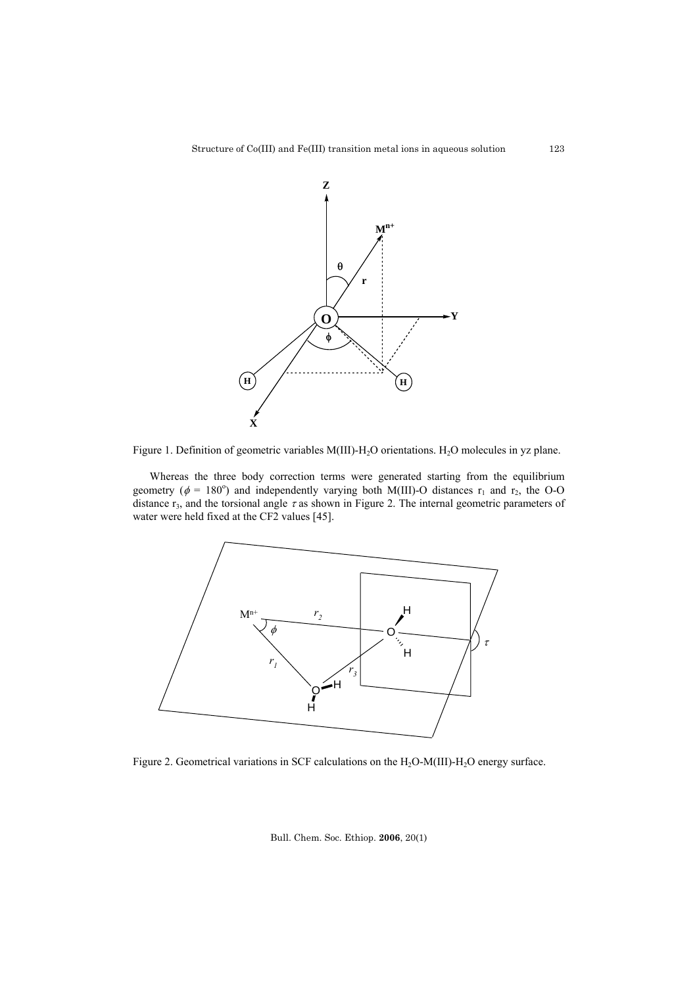

Figure 1. Definition of geometric variables M(III)-H<sub>2</sub>O orientations. H<sub>2</sub>O molecules in yz plane.

Whereas the three body correction terms were generated starting from the equilibrium geometry ( $\phi = 180^\circ$ ) and independently varying both M(III)-O distances r<sub>1</sub> and r<sub>2</sub>, the O-O distance  $r_3$ , and the torsional angle  $\tau$  as shown in Figure 2. The internal geometric parameters of water were held fixed at the CF2 values [45].



Figure 2. Geometrical variations in SCF calculations on the H<sub>2</sub>O-M(III)-H<sub>2</sub>O energy surface.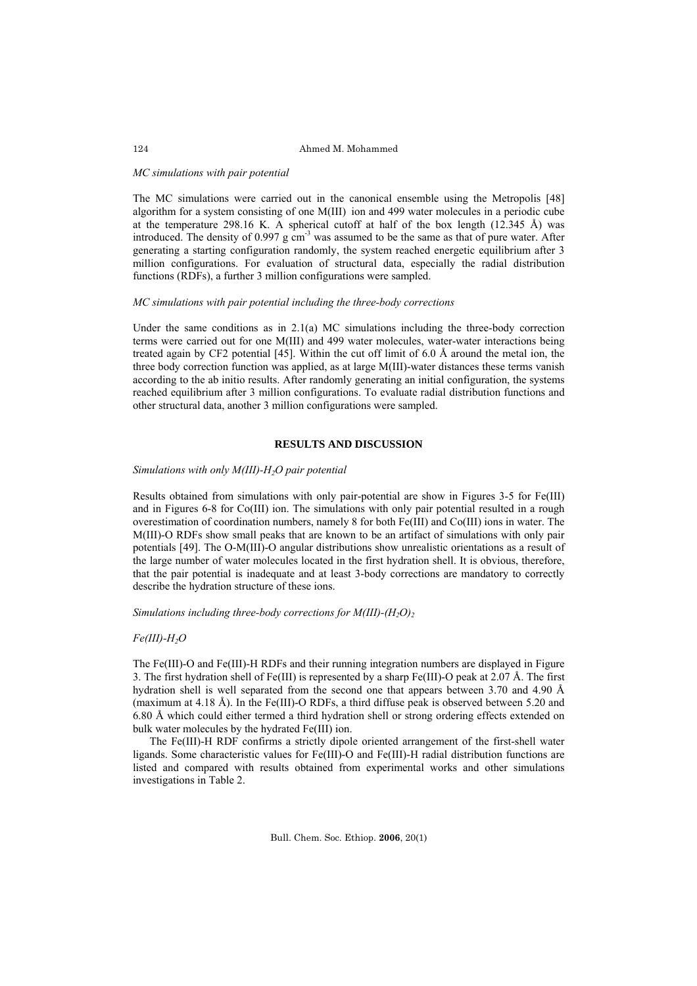### 124 Ahmed M. Mohammed

#### *MC simulations with pair potential*

The MC simulations were carried out in the canonical ensemble using the Metropolis [48] algorithm for a system consisting of one M(III) ion and 499 water molecules in a periodic cube at the temperature 298.16 K. A spherical cutoff at half of the box length (12.345 Å) was introduced. The density of 0.997 g cm<sup>-3</sup> was assumed to be the same as that of pure water. After generating a starting configuration randomly, the system reached energetic equilibrium after 3 million configurations. For evaluation of structural data, especially the radial distribution functions (RDFs), a further 3 million configurations were sampled.

## *MC simulations with pair potential including the three-body corrections*

Under the same conditions as in  $2.1(a)$  MC simulations including the three-body correction terms were carried out for one M(III) and 499 water molecules, water-water interactions being treated again by CF2 potential [45]. Within the cut off limit of 6.0 Å around the metal ion, the three body correction function was applied, as at large M(III)-water distances these terms vanish according to the ab initio results. After randomly generating an initial configuration, the systems reached equilibrium after 3 million configurations. To evaluate radial distribution functions and other structural data, another 3 million configurations were sampled.

# **RESULTS AND DISCUSSION**

## *Simulations with only M(III)-H<sub>2</sub>O pair potential*

Results obtained from simulations with only pair-potential are show in Figures 3-5 for Fe(III) and in Figures 6-8 for Co(III) ion. The simulations with only pair potential resulted in a rough overestimation of coordination numbers, namely 8 for both Fe(III) and Co(III) ions in water. The M(III)-O RDFs show small peaks that are known to be an artifact of simulations with only pair potentials [49]. The O-M(III)-O angular distributions show unrealistic orientations as a result of the large number of water molecules located in the first hydration shell. It is obvious, therefore, that the pair potential is inadequate and at least 3-body corrections are mandatory to correctly describe the hydration structure of these ions.

#### *Simulations including three-body corrections for M(III)-(H<sub>2</sub>O)<sub>2</sub>*

## $Fe(III)$ - $H<sub>2</sub>O$

The Fe(III)-O and Fe(III)-H RDFs and their running integration numbers are displayed in Figure 3. The first hydration shell of Fe(III) is represented by a sharp Fe(III)-O peak at 2.07 Å. The first hydration shell is well separated from the second one that appears between 3.70 and 4.90 Å (maximum at 4.18 Å). In the Fe(III)-O RDFs, a third diffuse peak is observed between 5.20 and 6.80 Å which could either termed a third hydration shell or strong ordering effects extended on bulk water molecules by the hydrated Fe(III) ion.

The Fe(III)-H RDF confirms a strictly dipole oriented arrangement of the first-shell water ligands. Some characteristic values for Fe(III)-O and Fe(III)-H radial distribution functions are listed and compared with results obtained from experimental works and other simulations investigations in Table 2.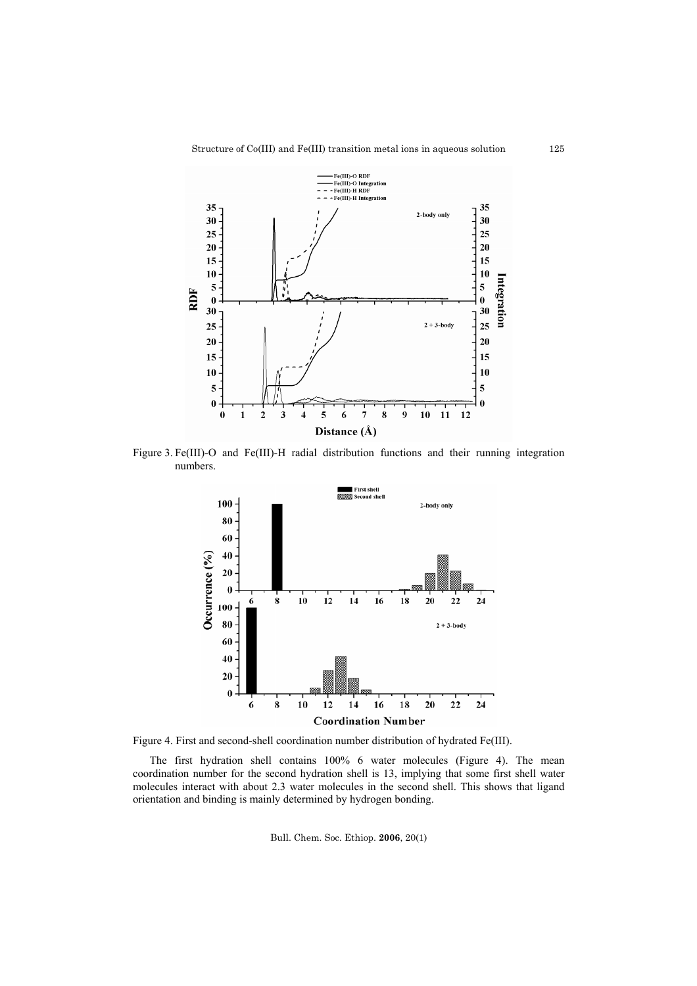

Figure 3. Fe(III)-O and Fe(III)-H radial distribution functions and their running integration numbers.



Figure 4. First and second-shell coordination number distribution of hydrated Fe(III).

The first hydration shell contains 100% 6 water molecules (Figure 4). The mean coordination number for the second hydration shell is 13, implying that some first shell water molecules interact with about 2.3 water molecules in the second shell. This shows that ligand orientation and binding is mainly determined by hydrogen bonding.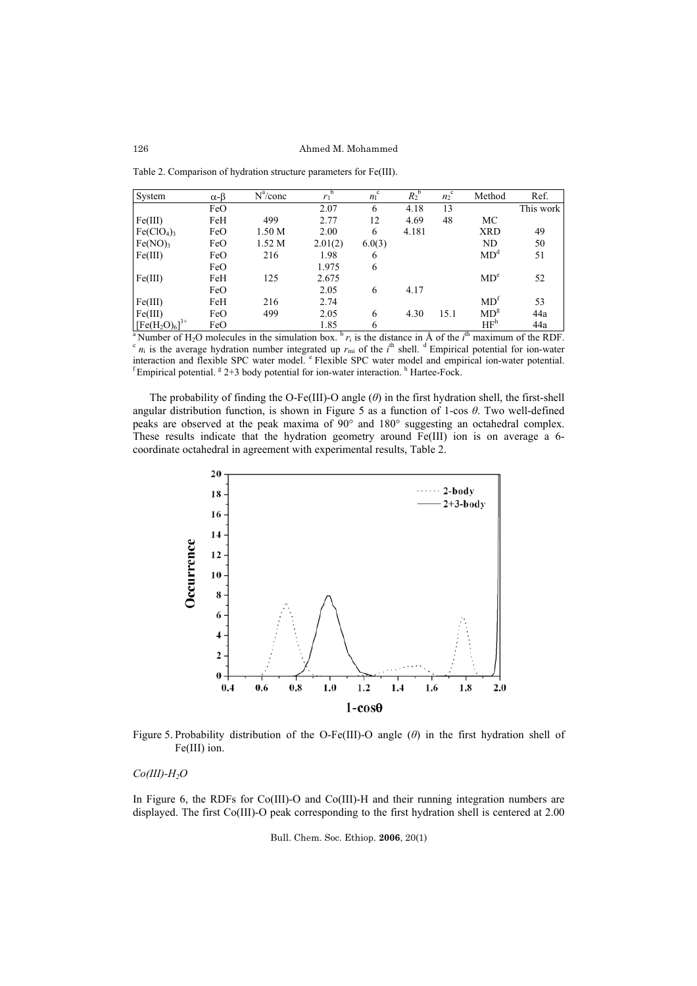126 Ahmed M. Mohammed

Table 2. Comparison of hydration structure parameters for Fe(III).

| System                | $\alpha$ - $\beta$ | $N^a$ /conc | b<br>$r_1$ | $\mathbf c$<br>$n_{\rm I}$ | $\overline{R_2}^{\rm b}$ | $\overline{n_2}^c$ | Method                             | Ref.      |
|-----------------------|--------------------|-------------|------------|----------------------------|--------------------------|--------------------|------------------------------------|-----------|
|                       | FeO                |             | 2.07       | 6                          | 4.18                     | 13                 |                                    | This work |
| Fe(III)               | FeH                | 499         | 2.77       | 12                         | 4.69                     | 48                 | MC                                 |           |
| Fe(CIO <sub>4</sub> ) | FeO                | 1.50 M      | 2.00       | 6                          | 4.181                    |                    | <b>XRD</b>                         | 49        |
| Fe(NO)                | FeO                | 1.52 M      | 2.01(2)    | 6.0(3)                     |                          |                    | ND                                 | 50        |
| Fe(III)               | FeO                | 216         | 1.98       | 6                          |                          |                    | MD <sup>d</sup>                    | 51        |
|                       | FeO                |             | 1.975      | 6                          |                          |                    |                                    |           |
| Fe(III)               | FeH                | 125         | 2.675      |                            |                          |                    | MD <sup>e</sup>                    | 52        |
|                       | FeO                |             | 2.05       | 6                          | 4.17                     |                    |                                    |           |
| Fe(III)               | FeH                | 216         | 2.74       |                            |                          |                    | MD <sup>f</sup>                    | 53        |
| Fe(III)               | FeO                | 499         | 2.05       | 6                          | 4.30                     | 15.1               | $MD^g$                             | 44a       |
| $[Fe(H2O)6]3+$        | FeO                |             | 1.85       | 6                          | $\sim$                   |                    | HF <sup>h</sup><br>$\overline{41}$ | 44a       |

<sup>4</sup> Number of H<sub>2</sub>O molecules in the simulation box.  $\mathbf{b} r_i$  is the distance in Å of the *i*<sup>th</sup> maximum of the RDF. <sup>a</sup> Number of H<sub>2</sub>O molecules in the simulation box. <sup>b</sup>  $r_i$  is the distance in Å of the *i*<sup>th</sup> maximum of the RDF.<br><sup>c</sup>  $n_i$  is the average hydration number integrated up  $r_{mi}$  of the *i*<sup>th</sup> shell. <sup>d</sup> Empirical poten interaction and flexible SPC water model.  $\degree$  Flexible SPC water model and empirical ion-water potential. 2+3 body potential for ion-water interaction. <sup>h</sup> Hartee-Fock.

The probability of finding the O-Fe(III)-O angle (*θ*) in the first hydration shell, the first-shell angular distribution function, is shown in Figure 5 as a function of 1-cos *θ*. Two well-defined peaks are observed at the peak maxima of 90° and 180° suggesting an octahedral complex. These results indicate that the hydration geometry around Fe(III) ion is on average a 6 coordinate octahedral in agreement with experimental results, Table 2.



Figure 5. Probability distribution of the O-Fe(III)-O angle (*θ*) in the first hydration shell of Fe(III) ion.

## $Co(III)$ - $H_2O$

In Figure 6, the RDFs for Co(III)-O and Co(III)-H and their running integration numbers are displayed. The first Co(III)-O peak corresponding to the first hydration shell is centered at 2.00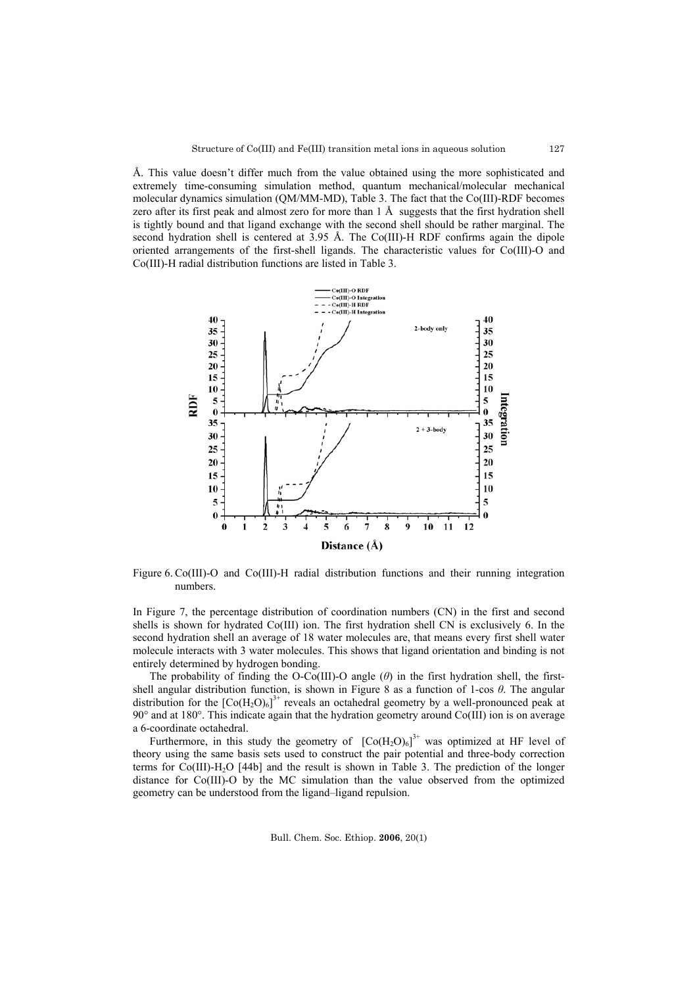Å. This value doesn't differ much from the value obtained using the more sophisticated and extremely time-consuming simulation method, quantum mechanical/molecular mechanical molecular dynamics simulation (QM/MM-MD), Table 3. The fact that the Co(III)-RDF becomes zero after its first peak and almost zero for more than 1 Å suggests that the first hydration shell is tightly bound and that ligand exchange with the second shell should be rather marginal. The second hydration shell is centered at 3.95 Å. The Co(III)-H RDF confirms again the dipole oriented arrangements of the first-shell ligands. The characteristic values for Co(III)-O and Co(III)-H radial distribution functions are listed in Table 3.



Figure 6. Co(III)-O and Co(III)-H radial distribution functions and their running integration numbers.

In Figure 7, the percentage distribution of coordination numbers (CN) in the first and second shells is shown for hydrated Co(III) ion. The first hydration shell CN is exclusively 6. In the second hydration shell an average of 18 water molecules are, that means every first shell water molecule interacts with 3 water molecules. This shows that ligand orientation and binding is not entirely determined by hydrogen bonding.

The probability of finding the O-Co(III)-O angle (*θ*) in the first hydration shell, the firstshell angular distribution function, is shown in Figure 8 as a function of 1-cos *θ*. The angular distribution for the  $[Co(H_2O)_6]^{3+}$  reveals an octahedral geometry by a well-pronounced peak at 90° and at 180°. This indicate again that the hydration geometry around Co(III) ion is on average a 6-coordinate octahedral.

Furthermore, in this study the geometry of  $[Co(H<sub>2</sub>O)<sub>6</sub>]<sup>3+</sup>$  was optimized at HF level of theory using the same basis sets used to construct the pair potential and three-body correction terms for  $Co(III)$ -H<sub>2</sub>O [44b] and the result is shown in Table 3. The prediction of the longer distance for Co(III)-O by the MC simulation than the value observed from the optimized geometry can be understood from the ligand–ligand repulsion.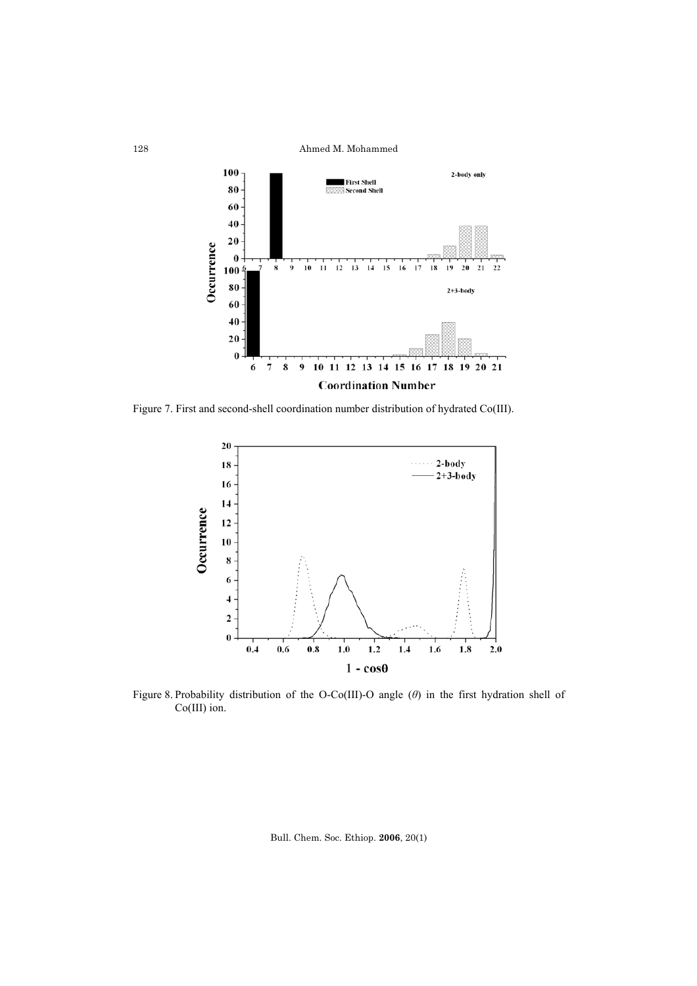

Figure 7. First and second-shell coordination number distribution of hydrated Co(III).



Figure 8. Probability distribution of the O-Co(III)-O angle (*θ*) in the first hydration shell of Co(III) ion.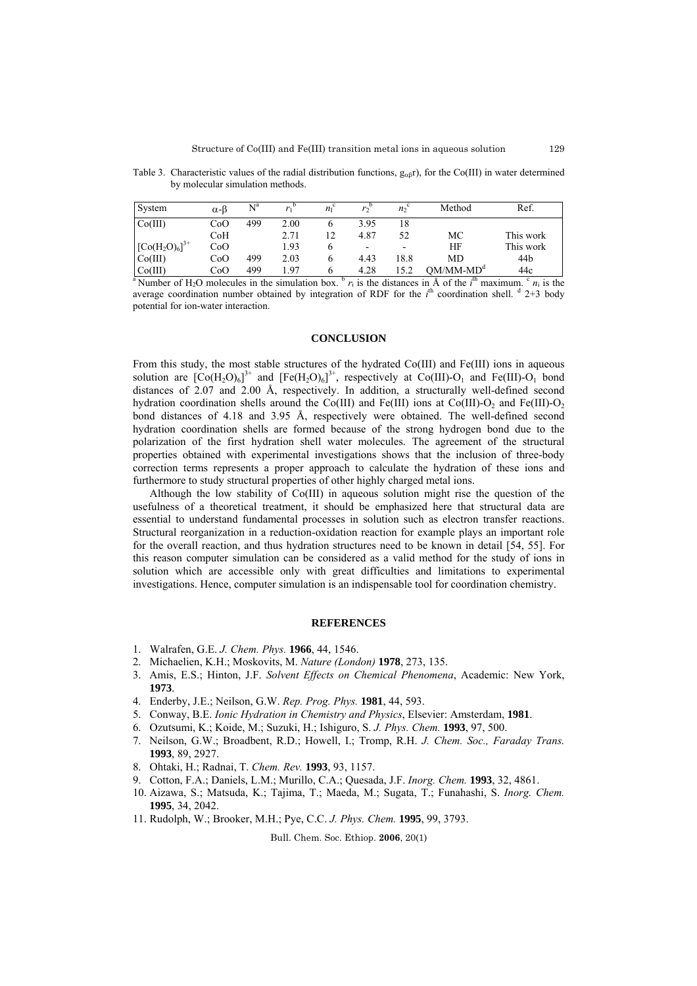Table 3. Characteristic values of the radial distribution functions,  $g_{\alpha\beta}r$ ), for the Co(III) in water determined by molecular simulation methods.

| System                                                                                                                                                                                        | $\alpha$ - $\beta$ | $\mathrm{N}^{\mathrm{a}}$ |      | $n_1$ <sup>c</sup> |                          | n <sub>o</sub> | Method      | Ref.      |
|-----------------------------------------------------------------------------------------------------------------------------------------------------------------------------------------------|--------------------|---------------------------|------|--------------------|--------------------------|----------------|-------------|-----------|
| Co(III)                                                                                                                                                                                       | CoO                | 499                       | 2.00 | b                  | 3.95                     | 18             |             |           |
|                                                                                                                                                                                               | CoH                |                           | 2.71 | 12                 | 4.87                     | 52             | МC          | This work |
| $[Co(H2O)6]3+$                                                                                                                                                                                | CoO                |                           | 1.93 | 6                  | $\overline{\phantom{a}}$ |                | ΗF          | This work |
| Co(III)                                                                                                                                                                                       | CoO                | 499                       | 2.03 | 6                  | 4.43                     | 18.8           | <b>MD</b>   | 44b       |
| Co(III)                                                                                                                                                                                       | CoO                | 499                       | 197  | 6                  | 4.28                     | 15.2           | $OM/MM-MDd$ | 44c       |
| <sup>a</sup> Number of H <sub>2</sub> O molecules in the simulation box. <sup>b</sup> r <sub>i</sub> is the distances in Å of the i <sup>th</sup> maximum. <sup>c</sup> n <sub>i</sub> is the |                    |                           |      |                    |                          |                |             |           |

average coordination number obtained by integration of RDF for the  $i<sup>th</sup>$  coordination shell.  $d$  2+3 body potential for ion-water interaction.

# **CONCLUSION**

From this study, the most stable structures of the hydrated Co(III) and Fe(III) ions in aqueous solution are  $[Co(H_2O)_6]^3$ <sup>+</sup> and  $[Fe(H_2O)_6]^3$ <sup>+</sup>, respectively at  $Co(III)-O_1$  and  $Fe(III)-O_1$  bond distances of 2.07 and 2.00 Å, respectively. In addition, a structurally well-defined second hydration coordination shells around the Co(III) and Fe(III) ions at Co(III)-O<sub>2</sub> and Fe(III)-O<sub>2</sub> bond distances of 4.18 and 3.95 Å, respectively were obtained. The well-defined second hydration coordination shells are formed because of the strong hydrogen bond due to the polarization of the first hydration shell water molecules. The agreement of the structural properties obtained with experimental investigations shows that the inclusion of three-body correction terms represents a proper approach to calculate the hydration of these ions and furthermore to study structural properties of other highly charged metal ions.

Although the low stability of Co(III) in aqueous solution might rise the question of the usefulness of a theoretical treatment, it should be emphasized here that structural data are essential to understand fundamental processes in solution such as electron transfer reactions. Structural reorganization in a reduction-oxidation reaction for example plays an important role for the overall reaction, and thus hydration structures need to be known in detail [54, 55]. For this reason computer simulation can be considered as a valid method for the study of ions in solution which are accessible only with great difficulties and limitations to experimental investigations. Hence, computer simulation is an indispensable tool for coordination chemistry.

## **REFERENCES**

- 1. Walrafen, G.E. *J. Chem. Phys.* **1966**, 44, 1546.
- 2. Michaelien, K.H.; Moskovits, M. *Nature (London)* **1978**, 273, 135.
- 3. Amis, E.S.; Hinton, J.F. *Solvent Effects on Chemical Phenomena*, Academic: New York, **1973**.
- 4. Enderby, J.E.; Neilson, G.W. *Rep. Prog. Phys.* **1981**, 44, 593.
- 5. Conway, B.E. *Ionic Hydration in Chemistry and Physics*, Elsevier: Amsterdam, **1981**.
- 6. Ozutsumi, K.; Koide, M.; Suzuki, H.; Ishiguro, S. *J. Phys. Chem.* **1993**, 97, 500.
- 7. Neilson, G.W.; Broadbent, R.D.; Howell, I.; Tromp, R.H. *J. Chem. Soc., Faraday Trans.* **1993**, 89, 2927.
- 8. Ohtaki, H.; Radnai, T. *Chem. Rev.* **1993**, 93, 1157.
- 9. Cotton, F.A.; Daniels, L.M.; Murillo, C.A.; Quesada, J.F. *Inorg. Chem.* **1993**, 32, 4861.
- 10. Aizawa, S.; Matsuda, K.; Tajima, T.; Maeda, M.; Sugata, T.; Funahashi, S. *Inorg. Chem.*  **1995**, 34, 2042.
- 11. Rudolph, W.; Brooker, M.H.; Pye, C.C. *J. Phys. Chem.* **1995**, 99, 3793.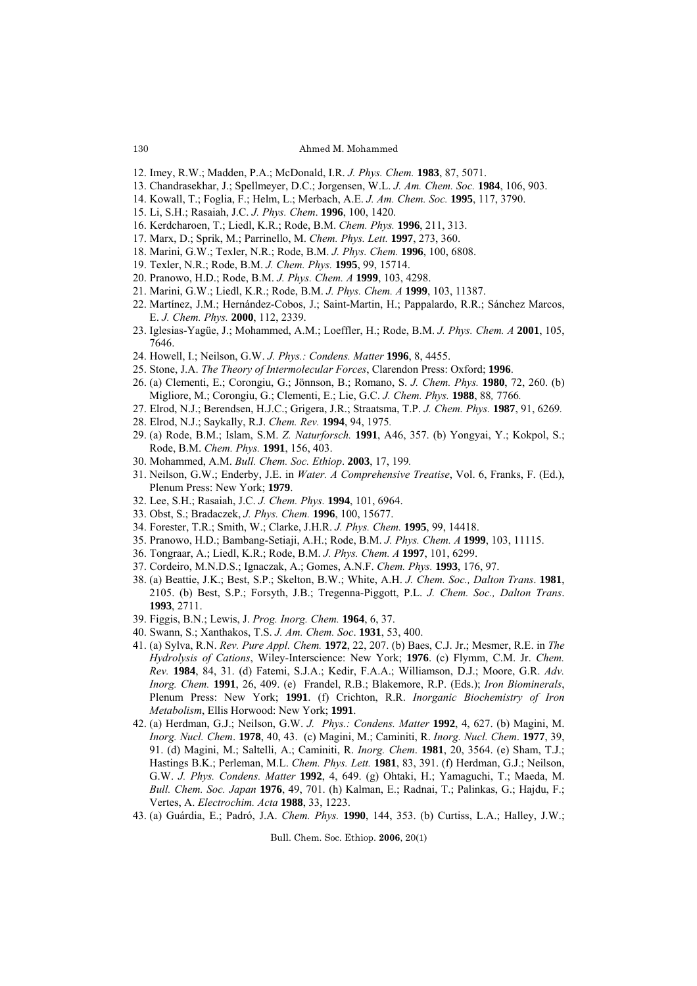- 12. Imey, R.W.; Madden, P.A.; McDonald, I.R. *J. Phys. Chem.* **1983**, 87, 5071.
- 13. Chandrasekhar, J.; Spellmeyer, D.C.; Jorgensen, W.L. *J. Am. Chem. Soc.* **1984**, 106, 903.
- 14. Kowall, T.; Foglia, F.; Helm, L.; Merbach, A.E. *J. Am. Chem. Soc.* **1995**, 117, 3790.
- 15. Li, S.H.; Rasaiah, J.C. *J. Phys. Chem*. **1996**, 100, 1420.
- 16. Kerdcharoen, T.; Liedl, K.R.; Rode, B.M. *Chem. Phys.* **1996**, 211, 313.
- 17. Marx, D.; Sprik, M.; Parrinello, M. *Chem. Phys. Lett.* **1997**, 273, 360.
- 18. Marini, G.W.; Texler, N.R.; Rode, B.M. *J. Phys. Chem.* **1996**, 100, 6808.
- 19. Texler, N.R.; Rode, B.M. *J. Chem. Phys.* **1995**, 99, 15714.
- 20. Pranowo, H.D.; Rode, B.M. *J. Phys. Chem. A* **1999**, 103, 4298.
- 21. Marini, G.W.; Liedl, K.R.; Rode, B.M. *J. Phys. Chem. A* **1999**, 103, 11387.
- 22. Martínez, J.M.; Hernández-Cobos, J.; Saint-Martin, H.; Pappalardo, R.R.; Sánchez Marcos, E. *J. Chem. Phys.* **2000**, 112, 2339.
- 23. Iglesias-Yagüe, J.; Mohammed, A.M.; Loeffler, H.; Rode, B.M. *J. Phys. Chem. A* **2001**, 105, 7646.
- 24. Howell, I.; Neilson, G.W. *J. Phys.: Condens. Matter* **1996**, 8, 4455.
- 25. Stone, J.A. *The Theory of Intermolecular Forces*, Clarendon Press: Oxford; **1996**.
- 26. (a) Clementi, E.; Corongiu, G.; Jönnson, B.; Romano, S. *J. Chem. Phys.* **1980**, 72, 260. (b) Migliore, M.; Corongiu, G.; Clementi, E.; Lie, G.C. *J. Chem. Phys.* **1988**, 88*,* 7766*.*
- 27. Elrod, N.J.; Berendsen, H.J.C.; Grigera, J.R.; Straatsma, T.P. *J. Chem. Phys.* **1987**, 91, 6269*.*
- 28. Elrod, N.J.; Saykally, R.J. *Chem. Rev.* **1994**, 94, 1975*.*
- 29. (a) Rode, B.M.; Islam, S.M. *Z. Naturforsch.* **1991**, A46, 357. (b) Yongyai, Y.; Kokpol, S.; Rode, B.M. *Chem. Phys.* **1991**, 156, 403.
- 30. Mohammed, A.M. *Bull. Chem. Soc. Ethiop*. **2003**, 17, 199*.*
- 31. Neilson, G.W.; Enderby, J.E. in *Water. A Comprehensive Treatise*, Vol. 6, Franks, F. (Ed.), Plenum Press: New York; **1979**.
- 32. Lee, S.H.; Rasaiah, J.C. *J. Chem. Phys.* **1994**, 101, 6964.
- 33. Obst, S.; Bradaczek, *J. Phys. Chem.* **1996**, 100, 15677.
- 34. Forester, T.R.; Smith, W.; Clarke, J.H.R. *J. Phys. Chem.* **1995**, 99, 14418.
- 35. Pranowo, H.D.; Bambang-Setiaji, A.H.; Rode, B.M. *J. Phys. Chem. A* **1999**, 103, 11115.
- 36. Tongraar, A.; Liedl, K.R.; Rode, B.M. *J. Phys. Chem. A* **1997**, 101, 6299.
- 37. Cordeiro, M.N.D.S.; Ignaczak, A.; Gomes, A.N.F. *Chem. Phys.* **1993**, 176, 97.
- 38. (a) Beattie, J.K.; Best, S.P.; Skelton, B.W.; White, A.H. *J. Chem. Soc., Dalton Trans*. **1981**, 2105. (b) Best, S.P.; Forsyth, J.B.; Tregenna-Piggott, P.L. *J. Chem. Soc., Dalton Trans*. **1993**, 2711.
- 39. Figgis, B.N.; Lewis, J. *Prog. Inorg. Chem.* **1964**, 6, 37.
- 40. Swann, S.; Xanthakos, T.S. *J. Am. Chem. Soc*. **1931**, 53, 400.
- 41. (a) Sylva, R.N. *Rev. Pure Appl. Chem.* **1972**, 22, 207. (b) Baes, C.J. Jr.; Mesmer, R.E. in *The Hydrolysis of Cations*, Wiley-Interscience: New York; **1976**. (c) Flymm, C.M. Jr. *Chem. Rev.* **1984**, 84, 31. (d) Fatemi, S.J.A.; Kedir, F.A.A.; Williamson, D.J.; Moore, G.R. *Adv. Inorg. Chem.* **1991**, 26, 409. (e) Frandel, R.B.; Blakemore, R.P. (Eds.); *Iron Biominerals*, Plenum Press: New York; **1991**. (f) Crichton, R.R. *Inorganic Biochemistry of Iron Metabolism*, Ellis Horwood: New York; **1991**.
- 42. (a) Herdman, G.J.; Neilson, G.W. *J. Phys.: Condens. Matter* **1992**, 4, 627. (b) Magini, M. *Inorg. Nucl. Chem*. **1978**, 40, 43. (c) Magini, M.; Caminiti, R. *Inorg. Nucl. Chem*. **1977**, 39, 91. (d) Magini, M.; Saltelli, A.; Caminiti, R. *Inorg. Chem*. **1981**, 20, 3564. (e) Sham, T.J.; Hastings B.K.; Perleman, M.L. *Chem. Phys. Lett.* **1981**, 83, 391. (f) Herdman, G.J.; Neilson, G.W. *J. Phys. Condens. Matter* **1992**, 4, 649. (g) Ohtaki, H.; Yamaguchi, T.; Maeda, M. *Bull. Chem. Soc. Japan* **1976**, 49, 701. (h) Kalman, E.; Radnai, T.; Palinkas, G.; Hajdu, F.; Vertes, A. *Electrochim. Acta* **1988**, 33, 1223.
- 43. (a) Guárdia, E.; Padró, J.A. *Chem. Phys.* **1990**, 144, 353. (b) Curtiss, L.A.; Halley, J.W.;